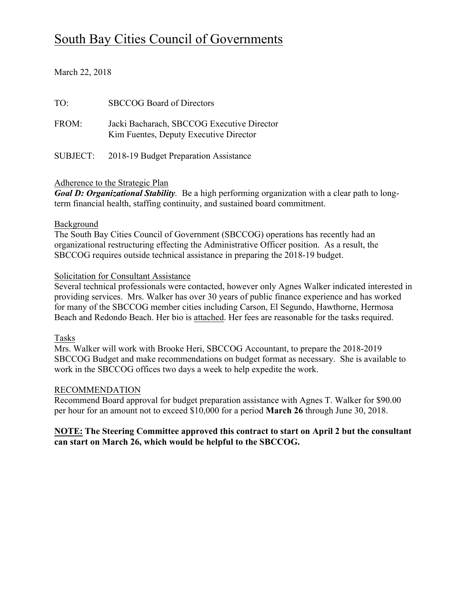# South Bay Cities Council of Governments

# March 22, 2018

| TO <sup>1</sup> | <b>SBCCOG</b> Board of Directors                                                     |
|-----------------|--------------------------------------------------------------------------------------|
| FROM:           | Jacki Bacharach, SBCCOG Executive Director<br>Kim Fuentes, Deputy Executive Director |
| SUBJECT:        | 2018-19 Budget Preparation Assistance                                                |

## Adherence to the Strategic Plan

*Goal D: Organizational Stability.* Be a high performing organization with a clear path to longterm financial health, staffing continuity, and sustained board commitment.

#### Background

The South Bay Cities Council of Government (SBCCOG) operations has recently had an organizational restructuring effecting the Administrative Officer position. As a result, the SBCCOG requires outside technical assistance in preparing the 2018-19 budget.

#### Solicitation for Consultant Assistance

Several technical professionals were contacted, however only Agnes Walker indicated interested in providing services. Mrs. Walker has over 30 years of public finance experience and has worked for many of the SBCCOG member cities including Carson, El Segundo, Hawthorne, Hermosa Beach and Redondo Beach. Her bio is attached. Her fees are reasonable for the tasks required.

#### Tasks

Mrs. Walker will work with Brooke Heri, SBCCOG Accountant, to prepare the 2018-2019 SBCCOG Budget and make recommendations on budget format as necessary. She is available to work in the SBCCOG offices two days a week to help expedite the work.

#### RECOMMENDATION

Recommend Board approval for budget preparation assistance with Agnes T. Walker for \$90.00 per hour for an amount not to exceed \$10,000 for a period **March 26** through June 30, 2018.

## **NOTE: The Steering Committee approved this contract to start on April 2 but the consultant can start on March 26, which would be helpful to the SBCCOG.**